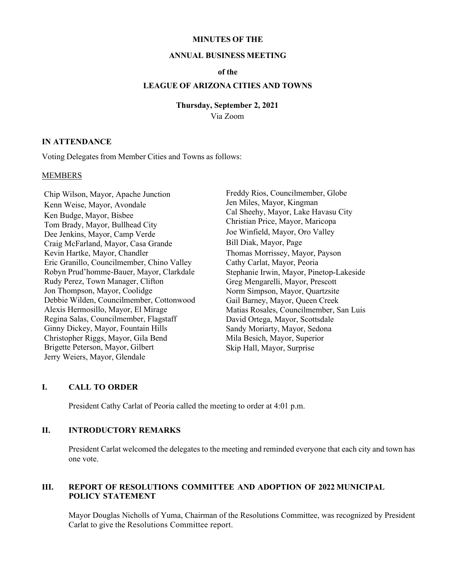#### **MINUTES OF THE**

#### **ANNUAL BUSINESS MEETING**

### **of the**

## **LEAGUE OF ARIZONA CITIES AND TOWNS**

**Thursday, September 2, 2021**

Via Zoom

### **IN ATTENDANCE**

Voting Delegates from Member Cities and Towns as follows:

### **MEMBERS**

Chip Wilson, Mayor, Apache Junction Kenn Weise, Mayor, Avondale Ken Budge, Mayor, Bisbee Tom Brady, Mayor, Bullhead City Dee Jenkins, Mayor, Camp Verde Craig McFarland, Mayor, Casa Grande Kevin Hartke, Mayor, Chandler Eric Granillo, Councilmember, Chino Valley Robyn Prud'homme-Bauer, Mayor, Clarkdale Rudy Perez, Town Manager, Clifton Jon Thompson, Mayor, Coolidge Debbie Wilden, Councilmember, Cottonwood Alexis Hermosillo, Mayor, El Mirage Regina Salas, Councilmember, Flagstaff Ginny Dickey, Mayor, Fountain Hills Christopher Riggs, Mayor, Gila Bend Brigette Peterson, Mayor, Gilbert Jerry Weiers, Mayor, Glendale

Freddy Rios, Councilmember, Globe Jen Miles, Mayor, Kingman Cal Sheehy, Mayor, Lake Havasu City Christian Price, Mayor, Maricopa Joe Winfield, Mayor, Oro Valley Bill Diak, Mayor, Page Thomas Morrissey, Mayor, Payson Cathy Carlat, Mayor, Peoria Stephanie Irwin, Mayor, Pinetop-Lakeside Greg Mengarelli, Mayor, Prescott Norm Simpson, Mayor, Quartzsite Gail Barney, Mayor, Queen Creek Matias Rosales, Councilmember, San Luis David Ortega, Mayor, Scottsdale Sandy Moriarty, Mayor, Sedona Mila Besich, Mayor, Superior Skip Hall, Mayor, Surprise

### **I. CALL TO ORDER**

President Cathy Carlat of Peoria called the meeting to order at 4:01 p.m.

## **II. INTRODUCTORY REMARKS**

President Carlat welcomed the delegates to the meeting and reminded everyone that each city and town has one vote.

## **III. REPORT OF RESOLUTIONS COMMITTEE AND ADOPTION OF 2022 MUNICIPAL POLICY STATEMENT**

Mayor Douglas Nicholls of Yuma, Chairman of the Resolutions Committee, was recognized by President Carlat to give the Resolutions Committee report.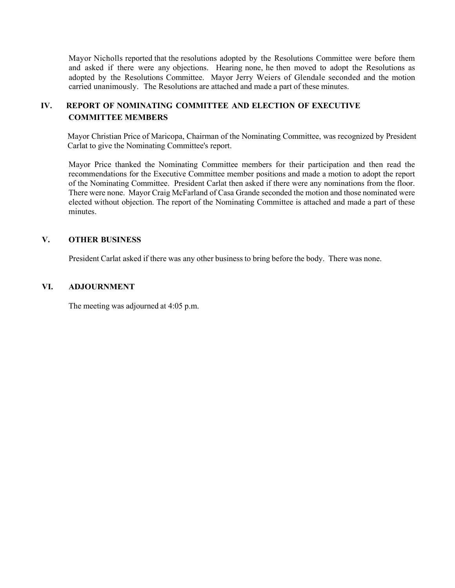Mayor Nicholls reported that the resolutions adopted by the Resolutions Committee were before them and asked if there were any objections. Hearing none, he then moved to adopt the Resolutions as adopted by the Resolutions Committee. Mayor Jerry Weiers of Glendale seconded and the motion carried unanimously. The Resolutions are attached and made a part of these minutes.

# **IV. REPORT OF NOMINATING COMMITTEE AND ELECTION OF EXECUTIVE COMMITTEE MEMBERS**

Mayor Christian Price of Maricopa, Chairman of the Nominating Committee, was recognized by President Carlat to give the Nominating Committee's report.

Mayor Price thanked the Nominating Committee members for their participation and then read the recommendations for the Executive Committee member positions and made a motion to adopt the report of the Nominating Committee. President Carlat then asked if there were any nominations from the floor. There were none. Mayor Craig McFarland of Casa Grande seconded the motion and those nominated were elected without objection. The report of the Nominating Committee is attached and made a part of these minutes.

## **V. OTHER BUSINESS**

President Carlat asked if there was any other business to bring before the body. There was none.

### **VI. ADJOURNMENT**

The meeting was adjourned at 4:05 p.m.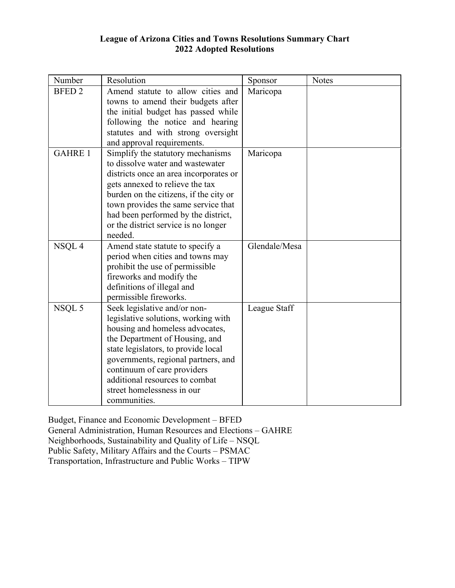# **League of Arizona Cities and Towns Resolutions Summary Chart 2022 Adopted Resolutions**

| Number         | Resolution                             | Sponsor       | <b>Notes</b> |
|----------------|----------------------------------------|---------------|--------------|
| <b>BFED 2</b>  | Amend statute to allow cities and      | Maricopa      |              |
|                | towns to amend their budgets after     |               |              |
|                | the initial budget has passed while    |               |              |
|                | following the notice and hearing       |               |              |
|                | statutes and with strong oversight     |               |              |
|                | and approval requirements.             |               |              |
| <b>GAHRE 1</b> | Simplify the statutory mechanisms      | Maricopa      |              |
|                | to dissolve water and wastewater       |               |              |
|                | districts once an area incorporates or |               |              |
|                | gets annexed to relieve the tax        |               |              |
|                | burden on the citizens, if the city or |               |              |
|                | town provides the same service that    |               |              |
|                | had been performed by the district,    |               |              |
|                | or the district service is no longer   |               |              |
|                | needed.                                |               |              |
| NSQL 4         | Amend state statute to specify a       | Glendale/Mesa |              |
|                | period when cities and towns may       |               |              |
|                | prohibit the use of permissible        |               |              |
|                | fireworks and modify the               |               |              |
|                | definitions of illegal and             |               |              |
|                | permissible fireworks.                 |               |              |
| NSQL 5         | Seek legislative and/or non-           | League Staff  |              |
|                | legislative solutions, working with    |               |              |
|                | housing and homeless advocates,        |               |              |
|                | the Department of Housing, and         |               |              |
|                | state legislators, to provide local    |               |              |
|                | governments, regional partners, and    |               |              |
|                | continuum of care providers            |               |              |
|                | additional resources to combat         |               |              |
|                | street homelessness in our             |               |              |
|                | communities.                           |               |              |

Budget, Finance and Economic Development – BFED  General Administration, Human Resources and Elections – GAHRE  Neighborhoods, Sustainability and Quality of Life – NSQL  Public Safety, Military Affairs and the Courts – PSMAC  Transportation, Infrastructure and Public Works – TIPW